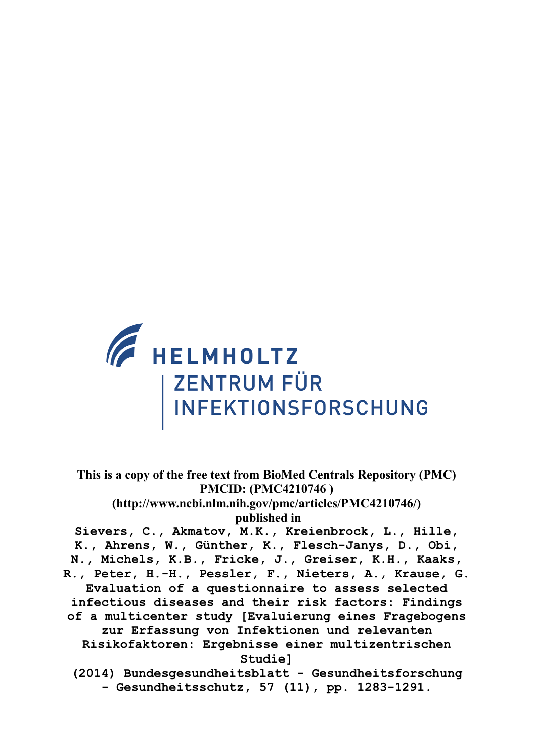

**This is a copy of the free text from BioMed Centrals Repository (PMC) PMCID: (PMC4210746 ) (http://www.ncbi.nlm.nih.gov/pmc/articles/PMC4210746/) published in Sievers, C., Akmatov, M.K., Kreienbrock, L., Hille, K., Ahrens, W., Günther, K., Flesch-Janys, D., Obi, N., Michels, K.B., Fricke, J., Greiser, K.H., Kaaks, R., Peter, H.-H., Pessler, F., Nieters, A., Krause, G. Evaluation of a questionnaire to assess selected infectious diseases and their risk factors: Findings of a multicenter study [Evaluierung eines Fragebogens zur Erfassung von Infektionen und relevanten Risikofaktoren: Ergebnisse einer multizentrischen Studie] (2014) Bundesgesundheitsblatt - Gesundheitsforschung**

**- Gesundheitsschutz, 57 (11), pp. 1283-1291.**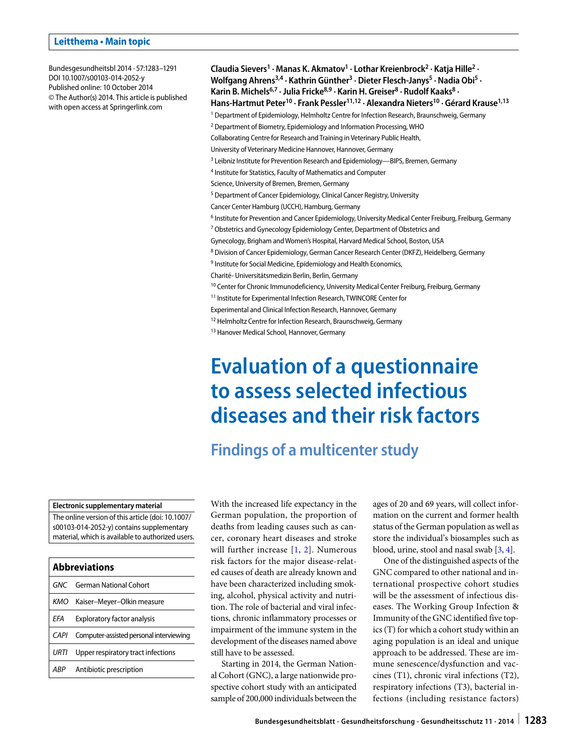#### **Leitthema • Main topic**

Bundesgesundheitsbl 2014 · 57:1283–1291 DOI 10.1007/s00103-014-2052-y Published online: 10 October 2014 © The Author(s) 2014. This article is published with open access at Springerlink.com

**Claudia Sievers1 · Manas K. Akmatov1 · Lothar Kreienbrock2 · Katja Hille2 ·**  Wolfgang Ahrens<sup>3,4</sup> · Kathrin Günther<sup>3</sup> · Dieter Flesch-Janys<sup>5</sup> · Nadia Obi<sup>5</sup> · Karin B. Michels<sup>6,7</sup> · Julia Fricke<sup>8,9</sup> · Karin H. Greiser<sup>8</sup> · Rudolf Kaaks<sup>8</sup> · **Hans-Hartmut Peter10 · Frank Pessler11,12 · Alexandra Nieters10 · Gérard Krause1,13** <sup>1</sup> Department of Epidemiology, Helmholtz Centre for Infection Research, Braunschweig, Germany 2 Department of Biometry, Epidemiology and Information Processing, WHO Collaborating Centre for Research and Training in Veterinary Public Health, University of Veterinary Medicine Hannover, Hannover, Germany <sup>3</sup> Leibniz Institute for Prevention Research and Epidemiology—BIPS, Bremen, Germany 4 Institute for Statistics, Faculty of Mathematics and Computer Science, University of Bremen, Bremen, Germany <sup>5</sup> Department of Cancer Epidemiology, Clinical Cancer Registry, University Cancer Center Hamburg (UCCH), Hamburg, Germany <sup>6</sup> Institute for Prevention and Cancer Epidemiology, University Medical Center Freiburg, Freiburg, Germany <sup>7</sup> Obstetrics and Gynecology Epidemiology Center, Department of Obstetrics and Gynecology, Brigham and Women's Hospital, Harvard Medical School, Boston, USA <sup>8</sup> Division of Cancer Epidemiology, German Cancer Research Center (DKFZ), Heidelberg, Germany <sup>9</sup> Institute for Social Medicine, Epidemiology and Health Economics, Charité- Universitätsmedizin Berlin, Berlin, Germany <sup>10</sup> Center for Chronic Immunodeficiency, University Medical Center Freiburg, Freiburg, Germany <sup>11</sup> Institute for Experimental Infection Research, TWINCORE Center for Experimental and Clinical Infection Research, Hannover, Germany

<sup>12</sup> Helmholtz Centre for Infection Research, Braunschweig, Germany

<sup>13</sup> Hanover Medical School, Hannover, Germany

# **Evaluation of a questionnaire to assess selected infectious diseases and their risk factors**

# **Findings of a multicenter study**

#### **Electronic supplementary material**

The online version of this article (doi: 10.1007/ s00103-014-2052-y) contains supplementary material, which is available to authorized users.

| <b>Abbreviations</b> |                                         |  |  |
|----------------------|-----------------------------------------|--|--|
|                      | GNC German National Cohort              |  |  |
| KMO                  | Kaiser-Meyer-Olkin measure              |  |  |
| FFA                  | Exploratory factor analysis             |  |  |
| CAPI                 | Computer-assisted personal interviewing |  |  |
| URTI                 | Upper respiratory tract infections      |  |  |
| ARP                  | Antibiotic prescription                 |  |  |

With the increased life expectancy in the German population, the proportion of deaths from leading causes such as cancer, coronary heart diseases and stroke will further increase [[1](#page-9-0), [2\]](#page-9-1). Numerous risk factors for the major disease-related causes of death are already known and have been characterized including smoking, alcohol, physical activity and nutrition. The role of bacterial and viral infections, chronic inflammatory processes or impairment of the immune system in the development of the diseases named above still have to be assessed.

Starting in 2014, the German National Cohort (GNC), a large nationwide prospective cohort study with an anticipated sample of 200,000 individuals between the ages of 20 and 69 years, will collect information on the current and former health status of the German population as well as store the individual's biosamples such as blood, urine, stool and nasal swab [[3](#page-9-2), [4\]](#page-9-3).

One of the distinguished aspects of the GNC compared to other national and international prospective cohort studies will be the assessment of infectious diseases. The Working Group Infection & Immunity of the GNC identified five topics (T) for which a cohort study within an aging population is an ideal and unique approach to be addressed. These are immune senescence/dysfunction and vaccines (T1), chronic viral infections (T2), respiratory infections (T3), bacterial infections (including resistance factors)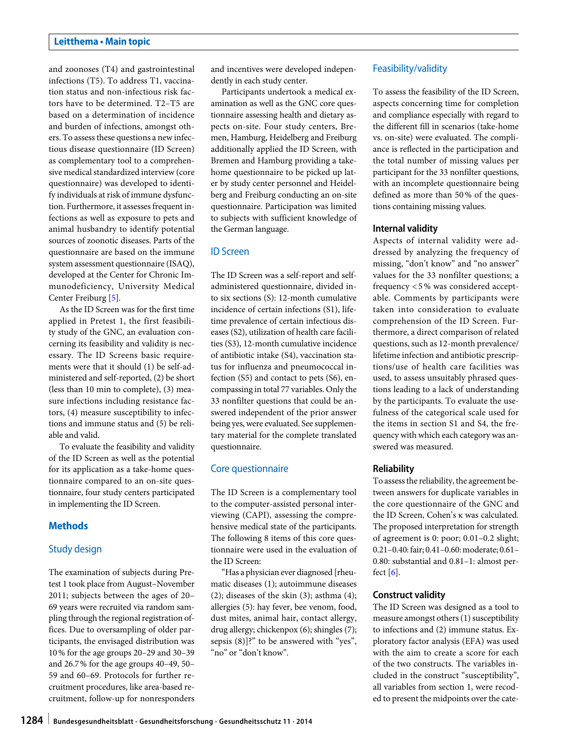and zoonoses (T4) and gastrointestinal infections (T5). To address T1, vaccination status and non-infectious risk factors have to be determined. T2–T5 are based on a determination of incidence and burden of infections, amongst others. To assess these questions a new infectious disease questionnaire (ID Screen) as complementary tool to a comprehensive medical standardized interview (core questionnaire) was developed to identify individuals at risk of immune dysfunction. Furthermore, it assesses frequent infections as well as exposure to pets and animal husbandry to identify potential sources of zoonotic diseases. Parts of the questionnaire are based on the immune system assessment questionnaire (ISAQ), developed at the Center for Chronic Immunodeficiency, University Medical Center Freiburg [[5](#page-9-4)].

As the ID Screen was for the first time applied in Pretest 1, the first feasibility study of the GNC, an evaluation concerning its feasibility and validity is necessary. The ID Screens basic requirements were that it should (1) be self-administered and self-reported, (2) be short (less than 10 min to complete), (3) measure infections including resistance factors, (4) measure susceptibility to infections and immune status and (5) be reliable and valid.

To evaluate the feasibility and validity of the ID Screen as well as the potential for its application as a take-home questionnaire compared to an on-site questionnaire, four study centers participated in implementing the ID Screen.

# **Methods**

# Study design

The examination of subjects during Pretest 1 took place from August–November 2011; subjects between the ages of 20– 69 years were recruited via random sampling through the regional registration offices. Due to oversampling of older participants, the envisaged distribution was 10% for the age groups 20–29 and 30–39 and 26.7% for the age groups 40–49, 50– 59 and 60–69. Protocols for further recruitment procedures, like area-based recruitment, follow-up for nonresponders and incentives were developed independently in each study center.

Participants undertook a medical examination as well as the GNC core questionnaire assessing health and dietary aspects on-site. Four study centers, Bremen, Hamburg, Heidelberg and Freiburg additionally applied the ID Screen, with Bremen and Hamburg providing a takehome questionnaire to be picked up later by study center personnel and Heidelberg and Freiburg conducting an on-site questionnaire. Participation was limited to subjects with sufficient knowledge of the German language.

#### ID Screen

The ID Screen was a self-report and selfadministered questionnaire, divided into six sections (S): 12-month cumulative incidence of certain infections (S1), lifetime prevalence of certain infectious diseases (S2), utilization of health care facilities (S3), 12-month cumulative incidence of antibiotic intake (S4), vaccination status for influenza and pneumococcal infection (S5) and contact to pets (S6), encompassing in total 77 variables. Only the 33 nonfilter questions that could be answered independent of the prior answer being yes, were evaluated. See supplementary material for the complete translated questionnaire.

#### Core questionnaire

The ID Screen is a complementary tool to the computer-assisted personal interviewing (CAPI), assessing the comprehensive medical state of the participants. The following 8 items of this core questionnaire were used in the evaluation of the ID Screen:

"Has a physician ever diagnosed [rheumatic diseases (1); autoimmune diseases  $(2)$ ; diseases of the skin  $(3)$ ; asthma  $(4)$ ; allergies (5): hay fever, bee venom, food, dust mites, animal hair, contact allergy, drug allergy; chickenpox (6); shingles (7); sepsis (8)]?" to be answered with "yes", "no" or "don't know".

#### Feasibility/validity

To assess the feasibility of the ID Screen, aspects concerning time for completion and compliance especially with regard to the different fill in scenarios (take-home vs. on-site) were evaluated. The compliance is reflected in the participation and the total number of missing values per participant for the 33 nonfilter questions, with an incomplete questionnaire being defined as more than 50% of the questions containing missing values.

#### **Internal validity**

Aspects of internal validity were addressed by analyzing the frequency of missing, "don't know" and "no answer" values for the 33 nonfilter questions; a frequency <5% was considered acceptable. Comments by participants were taken into consideration to evaluate comprehension of the ID Screen. Furthermore, a direct comparison of related questions, such as 12-month prevalence/ lifetime infection and antibiotic prescriptions/use of health care facilities was used, to assess unsuitably phrased questions leading to a lack of understanding by the participants. To evaluate the usefulness of the categorical scale used for the items in section S1 and S4, the frequency with which each category was answered was measured.

#### **Reliability**

To assess the reliability, the agreement between answers for duplicate variables in the core questionnaire of the GNC and the ID Screen, Cohen's κ was calculated. The proposed interpretation for strength of agreement is 0: poor; 0.01–0.2 slight; 0.21–0.40: fair; 0.41–0.60: moderate; 0.61– 0.80: substantial and 0.81–1: almost perfect  $[6]$ .

#### **Construct validity**

The ID Screen was designed as a tool to measure amongst others (1) susceptibility to infections and (2) immune status. Exploratory factor analysis (EFA) was used with the aim to create a score for each of the two constructs. The variables included in the construct "susceptibility", all variables from section 1, were recoded to present the midpoints over the cate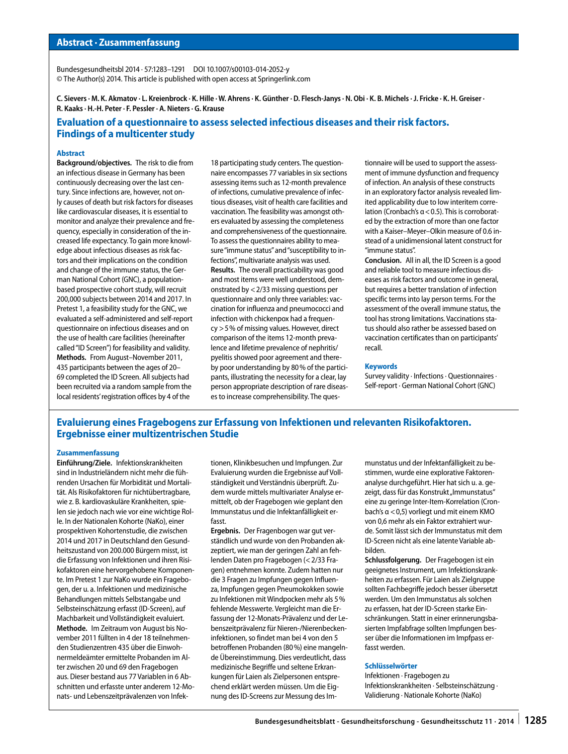Bundesgesundheitsbl 2014 · 57:1283–1291 DOI 10.1007/s00103-014-2052-y © The Author(s) 2014. This article is published with open access at Springerlink.com

**C. Sievers · M. K. Akmatov · L. Kreienbrock · K. Hille · W. Ahrens · K. Günther · D. Flesch-Janys · N. Obi · K. B. Michels · J. Fricke · K. H. Greiser · R. Kaaks · H.-H. Peter · F. Pessler · A. Nieters · G. Krause**

# **Evaluation of a questionnaire to assess selected infectious diseases and their risk factors. Findings of a multicenter study**

#### **Abstract**

**Background/objectives.** The risk to die from an infectious disease in Germany has been continuously decreasing over the last century. Since infections are, however, not only causes of death but risk factors for diseases like cardiovascular diseases, it is essential to monitor and analyze their prevalence and frequency, especially in consideration of the increased life expectancy. To gain more knowledge about infectious diseases as risk factors and their implications on the condition and change of the immune status, the German National Cohort (GNC), a populationbased prospective cohort study, will recruit 200,000 subjects between 2014 and 2017. In Pretest 1, a feasibility study for the GNC, we evaluated a self-administered and self-report questionnaire on infectious diseases and on the use of health care facilities (hereinafter called "ID Screen") for feasibility and validity. **Methods.** From August–November 2011, 435 participants between the ages of 20– 69 completed the ID Screen. All subjects had been recruited via a random sample from the local residents' registration offices by 4 of the

18 participating study centers. The questionnaire encompasses 77 variables in six sections assessing items such as 12-month prevalence of infections, cumulative prevalence of infectious diseases, visit of health care facilities and vaccination. The feasibility was amongst others evaluated by assessing the completeness and comprehensiveness of the questionnaire. To assess the questionnaires ability to measure "immune status" and "susceptibility to infections", multivariate analysis was used. **Results.** The overall practicability was good and most items were well understood, demonstrated by <2/33 missing questions per questionnaire and only three variables: vaccination for influenza and pneumococci and infection with chickenpox had a frequency >5% of missing values. However, direct comparison of the items 12-month prevalence and lifetime prevalence of nephritis/ pyelitis showed poor agreement and thereby poor understanding by 80% of the participants, illustrating the necessity for a clear, lay person appropriate description of rare diseases to increase comprehensibility. The questionnaire will be used to support the assessment of immune dysfunction and frequency of infection. An analysis of these constructs in an exploratory factor analysis revealed limited applicability due to low interitem correlation (Cronbach's α<0.5). This is corroborated by the extraction of more than one factor with a Kaiser–Meyer–Olkin measure of 0.6 instead of a unidimensional latent construct for "immune status".

**Conclusion.** All in all, the ID Screen is a good and reliable tool to measure infectious diseases as risk factors and outcome in general, but requires a better translation of infection specific terms into lay person terms. For the assessment of the overall immune status, the tool has strong limitations. Vaccinations status should also rather be assessed based on vaccination certificates than on participants' recall.

#### **Keywords**

Survey validity · Infections · Questionnaires · Self-report · German National Cohort (GNC)

# **Evaluierung eines Fragebogens zur Erfassung von Infektionen und relevanten Risikofaktoren. Ergebnisse einer multizentrischen Studie**

#### **Zusammenfassung**

**Einführung/Ziele.** Infektionskrankheiten sind in Industrieländern nicht mehr die führenden Ursachen für Morbidität und Mortalität. Als Risikofaktoren für nichtübertragbare, wie z. B. kardiovaskuläre Krankheiten, spielen sie jedoch nach wie vor eine wichtige Rolle. In der Nationalen Kohorte (NaKo), einer prospektiven Kohortenstudie, die zwischen 2014 und 2017 in Deutschland den Gesundheitszustand von 200.000 Bürgern misst, ist die Erfassung von Infektionen und ihren Risikofaktoren eine hervorgehobene Komponente. Im Pretest 1 zur NaKo wurde ein Fragebogen, der u. a. Infektionen und medizinische Behandlungen mittels Selbstangabe und Selbsteinschätzung erfasst (ID-Screen), auf Machbarkeit und Vollständigkeit evaluiert. **Methode.** Im Zeitraum von August bis November 2011 füllten in 4 der 18 teilnehmenden Studienzentren 435 über die Einwohnermeldeämter ermittelte Probanden im Alter zwischen 20 und 69 den Fragebogen aus. Dieser bestand aus 77 Variablen in 6 Abschnitten und erfasste unter anderem 12-Monats- und Lebenszeitprävalenzen von Infektionen, Klinikbesuchen und Impfungen. Zur Evaluierung wurden die Ergebnisse auf Vollständigkeit und Verständnis überprüft. Zudem wurde mittels multivariater Analyse ermittelt, ob der Fragebogen wie geplant den Immunstatus und die Infektanfälligkeit erfasst.

**Ergebnis.** Der Fragenbogen war gut verständlich und wurde von den Probanden akzeptiert, wie man der geringen Zahl an fehlenden Daten pro Fragebogen (< 2/33 Fragen) entnehmen konnte. Zudem hatten nur die 3 Fragen zu Impfungen gegen Influenza, Impfungen gegen Pneumokokken sowie zu Infektionen mit Windpocken mehr als 5% fehlende Messwerte. Vergleicht man die Erfassung der 12-Monats-Prävalenz und der Lebenszeitprävalenz für Nieren-/Nierenbeckeninfektionen, so findet man bei 4 von den 5 betroffenen Probanden (80%) eine mangelnde Übereinstimmung. Dies verdeutlicht, dass medizinische Begriffe und seltene Erkrankungen für Laien als Zielpersonen entsprechend erklärt werden müssen. Um die Eignung des ID-Screens zur Messung des Immunstatus und der Infektanfälligkeit zu bestimmen, wurde eine explorative Faktorenanalyse durchgeführt. Hier hat sich u. a. gezeigt, dass für das Konstrukt "Immunstatus" eine zu geringe Inter-Item-Korrelation (Cronbach's α <0,5) vorliegt und mit einem KMO von 0,6 mehr als ein Faktor extrahiert wurde. Somit lässt sich der Immunstatus mit dem ID-Screen nicht als eine latente Variable abbilden.

**Schlussfolgerung.** Der Fragebogen ist ein geeignetes Instrument, um Infektionskrankheiten zu erfassen. Für Laien als Zielgruppe sollten Fachbegriffe jedoch besser übersetzt werden. Um den Immunstatus als solchen zu erfassen, hat der ID-Screen starke Einschränkungen. Statt in einer erinnerungsbasierten Impfabfrage sollten Impfungen besser über die Informationen im Impfpass erfasst werden.

#### **Schlüsselwörter**

Infektionen · Fragebogen zu Infektionskrankheiten · Selbsteinschätzung · Validierung · Nationale Kohorte (NaKo)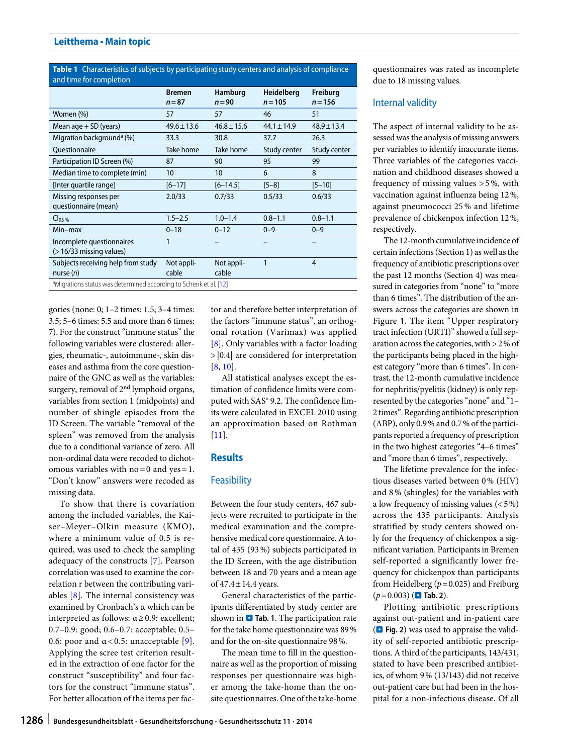<span id="page-4-0"></span>**Table 1** Characteristics of subjects by participating study centers and analysis of compliance and time for completion

|                                                                               | <b>Bremen</b><br>$n = 87$ | Hamburg<br>$n = 90$ | <b>Heidelberg</b><br>$n = 105$ | Freiburg<br>$n = 156$ |  |
|-------------------------------------------------------------------------------|---------------------------|---------------------|--------------------------------|-----------------------|--|
| Women (%)                                                                     | 57                        | 57                  | 46                             | 51                    |  |
| Mean age $+$ SD (years)                                                       | $49.6 \pm 13.6$           | $46.8 \pm 15.6$     | $44.1 \pm 14.9$                | $48.9 \pm 13.4$       |  |
| Migration background <sup>a</sup> (%)                                         | 33.3                      | 30.8                | 37.7                           | 26.3                  |  |
| <b>Ouestionnaire</b>                                                          | Take home                 | Take home           | Study center                   | Study center          |  |
| Participation ID Screen (%)                                                   | 87                        | 90                  | 95                             | 99                    |  |
| Median time to complete (min)                                                 | 10                        | 10                  | 6                              | 8                     |  |
| [Inter quartile range]                                                        | $[6 - 17]$                | $[6 - 14.5]$        | $[5 - 8]$                      | $[5 - 10]$            |  |
| Missing responses per<br>questionnaire (mean)                                 | 2.0/33                    | 0.7/33              | 0.5/33                         | 0.6/33                |  |
| C <sub>95%</sub>                                                              | $1.5 - 2.5$               | $1.0 - 1.4$         | $0.8 - 1.1$                    | $0.8 - 1.1$           |  |
| Min-max                                                                       | $0 - 18$                  | $0 - 12$            | $0 - 9$                        | $0 - 9$               |  |
| Incomplete questionnaires<br>$($ > 16/33 missing values)                      | 1                         |                     |                                |                       |  |
| Subjects receiving help from study<br>nurse $(n)$                             | Not appli-<br>cable       | Not appli-<br>cable | 1                              | 4                     |  |
| <sup>a</sup> Migrations status was determined according to Schenk et al. [12] |                           |                     |                                |                       |  |

gories (none: 0; 1–2 times: 1.5; 3–4 times: 3.5; 5–6 times: 5.5 and more than 6 times: 7). For the construct "immune status" the following variables were clustered: allergies, rheumatic-, autoimmune-, skin diseases and asthma from the core questionnaire of the GNC as well as the variables: surgery, removal of  $2<sup>nd</sup>$  lymphoid organs, variables from section 1 (midpoints) and number of shingle episodes from the ID Screen. The variable "removal of the spleen" was removed from the analysis due to a conditional variance of zero. All non-ordinal data were recoded to dichotomous variables with  $no=0$  and  $ves=1$ . "Don't know" answers were recoded as missing data.

To show that there is covariation among the included variables, the Kaiser–Meyer–Olkin measure (KMO), where a minimum value of 0.5 is required, was used to check the sampling adequacy of the constructs [[7](#page-9-6)]. Pearson correlation was used to examine the correlation r between the contributing variables [[8](#page-9-7)]. The internal consistency was examined by Cronbach's α which can be interpreted as follows: α≥0.9: excellent; 0.7–0.9: good; 0.6–0.7: acceptable; 0.5– 0.6: poor and  $\alpha$  < 0.5: unacceptable [[9\]](#page-9-8). Applying the scree test criterion resulted in the extraction of one factor for the construct "susceptibility" and four factors for the construct "immune status". For better allocation of the items per factor and therefore better interpretation of the factors "immune status", an orthogonal rotation (Varimax) was applied [\[8\]](#page-9-7). Only variables with a factor loading >|0.4| are considered for interpretation [\[8,](#page-9-7) [10](#page-9-9)].

All statistical analyses except the estimation of confidence limits were computed with SAS® 9.2. The confidence limits were calculated in EXCEL 2010 using an approximation based on Rothman [\[11\]](#page-9-10).

#### **Results**

#### **Feasibility**

Between the four study centers, 467 subjects were recruited to participate in the medical examination and the comprehensive medical core questionnaire. A total of 435 (93%) subjects participated in the ID Screen, with the age distribution between 18 and 70 years and a mean age of 47.4±14.4 years.

General characteristics of the participants differentiated by study center are shown in **a Tab. [1](#page-4-0)**. The participation rate for the take home questionnaire was 89% and for the on-site questionnaire 98%.

The mean time to fill in the questionnaire as well as the proportion of missing responses per questionnaire was higher among the take-home than the onsite questionnaires. One of the take-home questionnaires was rated as incomplete due to 18 missing values.

#### Internal validity

The aspect of internal validity to be assessed was the analysis of missing answers per variables to identify inaccurate items. Three variables of the categories vaccination and childhood diseases showed a frequency of missing values >5%, with vaccination against influenza being 12%, against pneumococci 25% and lifetime prevalence of chickenpox infection 12%, respectively.

The 12-month cumulative incidence of certain infections (Section 1) as well as the frequency of antibiotic prescriptions over the past 12 months (Section 4) was measured in categories from "none" to "more than 6 times". The distribution of the answers across the categories are shown in Figure **[1](#page-5-0)**. The item "Upper respiratory tract infection (URTI)" showed a full separation across the categories, with >2% of the participants being placed in the highest category "more than 6 times". In contrast, the 12-month cumulative incidence for nephritis/pyelitis (kidney) is only represented by the categories "none" and "1– 2 times". Regarding antibiotic prescription (ABP), only 0.9% and 0.7% of the participants reported a frequency of prescription in the two highest categories "4–6 times" and "more than 6 times", respectively.

The lifetime prevalence for the infectious diseases varied between 0% (HIV) and 8% (shingles) for the variables with a low frequency of missing values (<5%) across the 435 participants. Analysis stratified by study centers showed only for the frequency of chickenpox a significant variation. Participants in Bremen self-reported a significantly lower frequency for chickenpox than participants from Heidelberg (*p*=0.025) and Freiburg  $(p=0.003)$  ( $\blacksquare$  Tab. [2](#page-6-0)).

Plotting antibiotic prescriptions against out-patient and in-patient care (. **Fig. [2](#page-5-1)**) was used to appraise the validity of self-reported antibiotic prescriptions. A third of the participants, 143/431, stated to have been prescribed antibiotics, of whom 9% (13/143) did not receive out-patient care but had been in the hospital for a non-infectious disease. Of all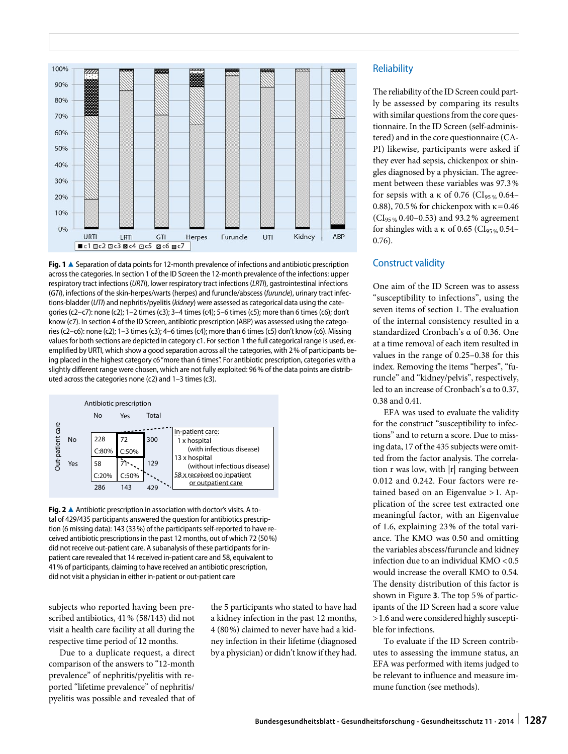<span id="page-5-0"></span>

**Fig. 1** ▲ Separation of data points for 12-month prevalence of infections and antibiotic prescription across the categories. In section 1 of the ID Screen the 12-month prevalence of the infections: upper respiratory tract infections (*URTI*), lower respiratory tract infections (*LRTI*), gastrointestinal infections (*GTI*), infections of the skin-herpes/warts (herpes) and furuncle/abscess (*furuncle*), urinary tract infections-bladder (*UTI*) and nephritis/pyelitis (*kidney*) were assessed as categorical data using the categories (c2–c7): none (c2); 1–2 times (c3); 3–4 times (c4); 5–6 times (c5); more than 6 times (c6); don't know (c7). In section 4 of the ID Screen, antibiotic prescription (ABP) was assessed using the categories (c2–c6): none (c2); 1–3 times (c3); 4–6 times (c4); more than 6 times (c5) don't know (c6). Missing values for both sections are depicted in category c1. For section 1 the full categorical range is used, exemplified by URTI, which show a good separation across all the categories, with 2% of participants being placed in the highest category c6 "more than 6 times". For antibiotic prescription, categories with a slightly different range were chosen, which are not fully exploited: 96% of the data points are distributed across the categories none (c2) and 1–3 times (c3).

<span id="page-5-1"></span>

**Fig. 2** ▲ Antibiotic prescription in association with doctor's visits. A total of 429/435 participants answered the question for antibiotics prescription (6 missing data): 143 (33%) of the participants self-reported to have received antibiotic prescriptions in the past 12 months, out of which 72 (50%) did not receive out-patient care. A subanalysis of these participants for inpatient care revealed that 14 received in-patient care and 58, equivalent to 41% of participants, claiming to have received an antibiotic prescription, did not visit a physician in either in-patient or out-patient care

subjects who reported having been prescribed antibiotics, 41% (58/143) did not visit a health care facility at all during the respective time period of 12 months.

Due to a duplicate request, a direct comparison of the answers to "12-month prevalence" of nephritis/pyelitis with reported "lifetime prevalence" of nephritis/ pyelitis was possible and revealed that of the 5 participants who stated to have had a kidney infection in the past 12 months, 4 (80%) claimed to never have had a kidney infection in their lifetime (diagnosed by a physician) or didn't know if they had.

#### **Reliability**

The reliability of the ID Screen could partly be assessed by comparing its results with similar questions from the core questionnaire. In the ID Screen (self-administered) and in the core questionnaire (CA-PI) likewise, participants were asked if they ever had sepsis, chickenpox or shingles diagnosed by a physician. The agreement between these variables was 97.3% for sepsis with a  $\kappa$  of 0.76 (CI<sub>95 %</sub> 0.64– 0.88), 70.5% for chickenpox with  $\kappa$  = 0.46  $(CI_{95\%}\, 0.40 - 0.53)$  and 93.2% agreement for shingles with a  $\kappa$  of 0.65 (CI<sub>95%</sub> 0.54– 0.76).

# Construct validity

One aim of the ID Screen was to assess "susceptibility to infections", using the seven items of section 1. The evaluation of the internal consistency resulted in a standardized Cronbach's α of 0.36. One at a time removal of each item resulted in values in the range of 0.25–0.38 for this index. Removing the items "herpes", "furuncle" and "kidney/pelvis", respectively, led to an increase of Cronbach's α to 0.37, 0.38 and 0.41.

EFA was used to evaluate the validity for the construct "susceptibility to infections" and to return a score. Due to missing data, 17 of the 435 subjects were omitted from the factor analysis. The correlation r was low, with |r| ranging between 0.012 and 0.242. Four factors were retained based on an Eigenvalue > 1. Application of the scree test extracted one meaningful factor, with an Eigenvalue of 1.6, explaining 23% of the total variance. The KMO was 0.50 and omitting the variables abscess/furuncle and kidney infection due to an individual KMO <0.5 would increase the overall KMO to 0.54. The density distribution of this factor is shown in Figure **[3](#page-7-0)**. The top 5% of participants of the ID Screen had a score value >1.6 and were considered highly susceptible for infections.

To evaluate if the ID Screen contributes to assessing the immune status, an EFA was performed with items judged to be relevant to influence and measure immune function (see methods).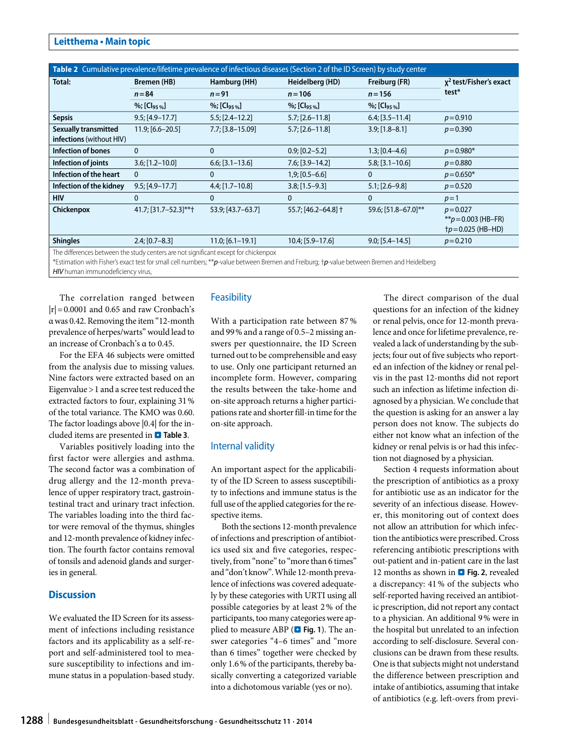#### **Leitthema • Main topic**

<span id="page-6-0"></span>

| Table 2 Cumulative prevalence/lifetime prevalence of infectious diseases (Section 2 of the ID Screen) by study center |                             |                             |                              |                             |                                                               |  |
|-----------------------------------------------------------------------------------------------------------------------|-----------------------------|-----------------------------|------------------------------|-----------------------------|---------------------------------------------------------------|--|
| Total:                                                                                                                | Bremen (HB)                 | Hamburg (HH)                | Heidelberg (HD)              | Freiburg (FR)               | $x^2$ test/Fisher's exact<br>test*                            |  |
|                                                                                                                       | $n = 84$                    | $n = 91$                    | $n = 106$                    | $n = 156$                   |                                                               |  |
|                                                                                                                       | $%$ ; [Cl <sub>95 %</sub> ] | $%$ ; [Cl <sub>95 %</sub> ] | $\%$ ; [Cl <sub>95 %</sub> ] | $%$ ; [Cl <sub>95 %</sub> ] |                                                               |  |
| <b>Sepsis</b>                                                                                                         | $9.5; [4.9-17.7]$           | $5.5$ ; [2.4-12.2]          | $5.7$ ; [2.6-11.8]           | $6.4$ ; [3.5-11.4]          | $p = 0.910$                                                   |  |
| <b>Sexually transmitted</b><br>infections (without HIV)                                                               | $11.9; [6.6 - 20.5]$        | $7.7$ ; [3.8-15.09]         | $5.7$ ; [2.6-11.8]           | $3.9; [1.8 - 8.1]$          | $p = 0.390$                                                   |  |
| <b>Infection of bones</b>                                                                                             | $\Omega$                    | $\mathbf{0}$                | $0.9; [0.2 - 5.2]$           | $1.3$ ; $[0.4 - 4.6]$       | $p = 0.980*$                                                  |  |
| Infection of joints                                                                                                   | $3.6; [1.2 - 10.0]$         | $6.6$ ; [3.1-13.6]          | $7.6$ ; [3.9-14.2]           | $5.8; [3.1 - 10.6]$         | $p = 0.880$                                                   |  |
| Infection of the heart                                                                                                | $\Omega$                    | 0                           | $1,9; [0.5 - 6.6]$           | $\mathbf{0}$                | $p = 0.650*$                                                  |  |
| Infection of the kidney                                                                                               | $9.5; [4.9-17.7]$           | $4.4$ ; [1.7-10.8]          | $3.8; [1.5 - 9.3]$           | $5.1$ ; [2.6-9.8]           | $p = 0.520$                                                   |  |
| <b>HIV</b>                                                                                                            | $\Omega$                    | $\Omega$                    | $\mathbf{0}$                 | $\Omega$                    | $p=1$                                                         |  |
| Chickenpox                                                                                                            | 41.7; [31.7-52.3]**†        | 53.9; [43.7-63.7]           | 55.7; [46.2-64.8] +          | 59.6; [51.8-67.0]**         | $p = 0.027$<br>** $p = 0.003$ (HB-FR)<br>$tp = 0.025$ (HB-HD) |  |
| <b>Shingles</b>                                                                                                       | $2.4; [0.7 - 8.3]$          | $11.0; [6.1 - 19.1]$        | $10.4; [5.9-17.6]$           | $9.0; [5.4 - 14.5]$         | $p = 0.210$                                                   |  |
| The differences between the study centers are not significant except for chickenpox                                   |                             |                             |                              |                             |                                                               |  |

The differences between the study centers are not significant except for chickenpox

\*Estimation with Fisher's exact test for small cell numbers; \*\**p*-value between Bremen and Freiburg; †*p*-value between Bremen and Heidelberg

*HIV* human immunodeficiency virus,

The correlation ranged between  $|r|=0.0001$  and 0.65 and raw Cronbach's α was 0.42. Removing the item "12-month prevalence of herpes/warts" would lead to an increase of Cronbach's α to 0.45.

For the EFA 46 subjects were omitted from the analysis due to missing values. Nine factors were extracted based on an Eigenvalue >1 and a scree test reduced the extracted factors to four, explaining 31% of the total variance. The KMO was 0.60. The factor loadings above |0.4| for the included items are presented in . **Table [3](#page-8-0)**.

Variables positively loading into the first factor were allergies and asthma. The second factor was a combination of drug allergy and the 12-month prevalence of upper respiratory tract, gastrointestinal tract and urinary tract infection. The variables loading into the third factor were removal of the thymus, shingles and 12-month prevalence of kidney infection. The fourth factor contains removal of tonsils and adenoid glands and surgeries in general.

#### **Discussion**

We evaluated the ID Screen for its assessment of infections including resistance factors and its applicability as a self-report and self-administered tool to measure susceptibility to infections and immune status in a population-based study.

# **Feasibility**

With a participation rate between 87% and 99% and a range of 0.5–2 missing answers per questionnaire, the ID Screen turned out to be comprehensible and easy to use. Only one participant returned an incomplete form. However, comparing the results between the take-home and on-site approach returns a higher participations rate and shorter fill-in time for the on-site approach.

#### Internal validity

An important aspect for the applicability of the ID Screen to assess susceptibility to infections and immune status is the full use of the applied categories for the respective items.

Both the sections 12-month prevalence of infections and prescription of antibiotics used six and five categories, respectively, from "none" to "more than 6 times" and "don't know". While 12-month prevalence of infections was covered adequately by these categories with URTI using all possible categories by at least 2% of the participants, too many categories were applied to measure ABP ( $\Box$  Fig. [1](#page-5-0)). The answer categories "4–6 times" and "more than 6 times" together were checked by only 1.6% of the participants, thereby basically converting a categorized variable into a dichotomous variable (yes or no).

The direct comparison of the dual questions for an infection of the kidney or renal pelvis, once for 12-month prevalence and once for lifetime prevalence, revealed a lack of understanding by the subjects; four out of five subjects who reported an infection of the kidney or renal pelvis in the past 12-months did not report such an infection as lifetime infection diagnosed by a physician. We conclude that the question is asking for an answer a lay person does not know. The subjects do either not know what an infection of the kidney or renal pelvis is or had this infection not diagnosed by a physician.

Section 4 requests information about the prescription of antibiotics as a proxy for antibiotic use as an indicator for the severity of an infectious disease. However, this monitoring out of context does not allow an attribution for which infection the antibiotics were prescribed. Cross referencing antibiotic prescriptions with out-patient and in-patient care in the last 12 months as shown in **D** Fig. [2](#page-5-1), revealed a discrepancy: 41% of the subjects who self-reported having received an antibiotic prescription, did not report any contact to a physician. An additional 9% were in the hospital but unrelated to an infection according to self-disclosure. Several conclusions can be drawn from these results. One is that subjects might not understand the difference between prescription and intake of antibiotics, assuming that intake of antibiotics (e.g. left-overs from previ-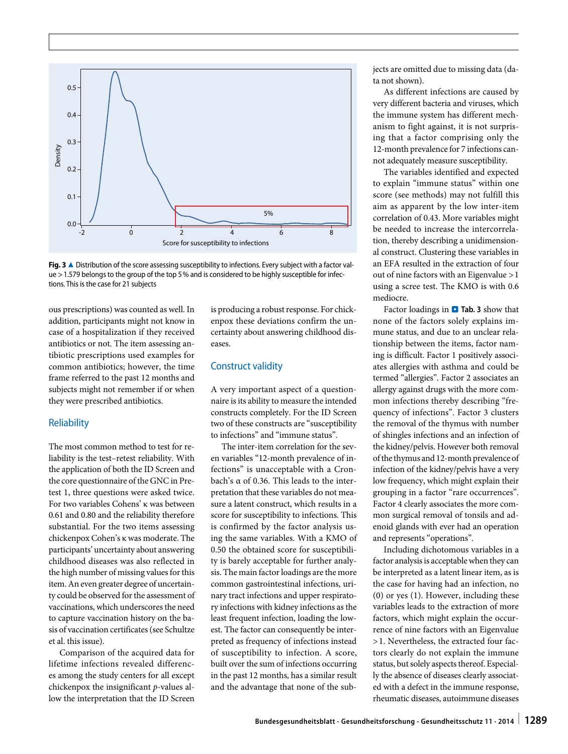<span id="page-7-0"></span>

Fig. 3  $\triangle$  Distribution of the score assessing susceptibility to infections. Every subject with a factor value >1.579 belongs to the group of the top 5% and is considered to be highly susceptible for infections. This is the case for 21 subjects

ous prescriptions) was counted as well. In addition, participants might not know in case of a hospitalization if they received antibiotics or not. The item assessing antibiotic prescriptions used examples for common antibiotics; however, the time frame referred to the past 12 months and subjects might not remember if or when they were prescribed antibiotics.

#### **Reliability**

The most common method to test for reliability is the test–retest reliability. With the application of both the ID Screen and the core questionnaire of the GNC in Pretest 1, three questions were asked twice. For two variables Cohens' κ was between 0.61 and 0.80 and the reliability therefore substantial. For the two items assessing chickenpox Cohen's κ was moderate. The participants' uncertainty about answering childhood diseases was also reflected in the high number of missing values for this item. An even greater degree of uncertainty could be observed for the assessment of vaccinations, which underscores the need to capture vaccination history on the basis of vaccination certificates (see Schultze et al. this issue).

Comparison of the acquired data for lifetime infections revealed differences among the study centers for all except chickenpox the insignificant *p*-values allow the interpretation that the ID Screen is producing a robust response. For chickenpox these deviations confirm the uncertainty about answering childhood diseases.

#### Construct validity

A very important aspect of a questionnaire is its ability to measure the intended constructs completely. For the ID Screen two of these constructs are "susceptibility to infections" and "immune status".

The inter-item correlation for the seven variables "12-month prevalence of infections" is unacceptable with a Cronbach's α of 0.36. This leads to the interpretation that these variables do not measure a latent construct, which results in a score for susceptibility to infections. This is confirmed by the factor analysis using the same variables. With a KMO of 0.50 the obtained score for susceptibility is barely acceptable for further analysis. The main factor loadings are the more common gastrointestinal infections, urinary tract infections and upper respiratory infections with kidney infections as the least frequent infection, loading the lowest. The factor can consequently be interpreted as frequency of infections instead of susceptibility to infection. A score, built over the sum of infections occurring in the past 12 months, has a similar result and the advantage that none of the subjects are omitted due to missing data (data not shown).

As different infections are caused by very different bacteria and viruses, which the immune system has different mechanism to fight against, it is not surprising that a factor comprising only the 12-month prevalence for 7 infections cannot adequately measure susceptibility.

The variables identified and expected to explain "immune status" within one score (see methods) may not fulfill this aim as apparent by the low inter-item correlation of 0.43. More variables might be needed to increase the intercorrelation, thereby describing a unidimensional construct. Clustering these variables in an EFA resulted in the extraction of four out of nine factors with an Eigenvalue >1 using a scree test. The KMO is with 0.6 mediocre.

Factor loadings in **O** Tab. [3](#page-8-0) show that none of the factors solely explains immune status, and due to an unclear relationship between the items, factor naming is difficult. Factor 1 positively associates allergies with asthma and could be termed "allergies". Factor 2 associates an allergy against drugs with the more common infections thereby describing "frequency of infections". Factor 3 clusters the removal of the thymus with number of shingles infections and an infection of the kidney/pelvis. However both removal of the thymus and 12-month prevalence of infection of the kidney/pelvis have a very low frequency, which might explain their grouping in a factor "rare occurrences". Factor 4 clearly associates the more common surgical removal of tonsils and adenoid glands with ever had an operation and represents "operations".

Including dichotomous variables in a factor analysis is acceptable when they can be interpreted as a latent linear item, as is the case for having had an infection, no (0) or yes (1). However, including these variables leads to the extraction of more factors, which might explain the occurrence of nine factors with an Eigenvalue >1. Nevertheless, the extracted four factors clearly do not explain the immune status, but solely aspects thereof. Especially the absence of diseases clearly associated with a defect in the immune response, rheumatic diseases, autoimmune diseases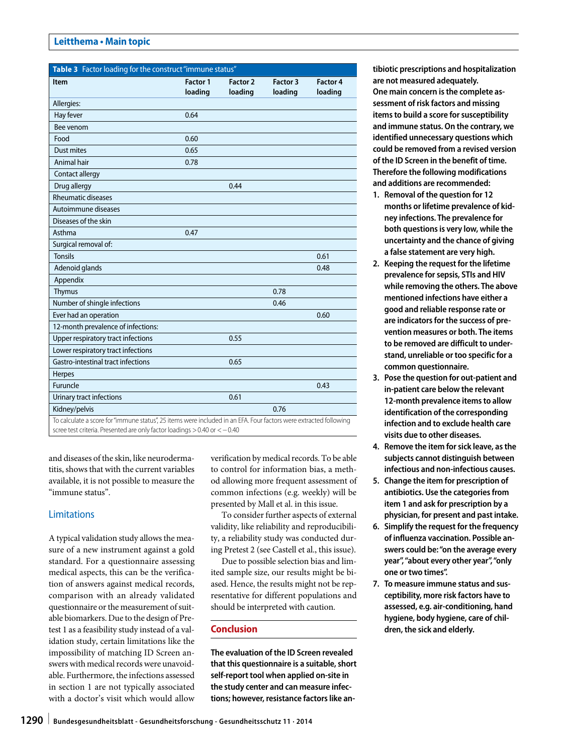## **Leitthema • Main topic**

<span id="page-8-0"></span>

| Table 3 Factor loading for the construct "immune status"                                                                                                                                        |                     |                            |                     |                            |  |  |
|-------------------------------------------------------------------------------------------------------------------------------------------------------------------------------------------------|---------------------|----------------------------|---------------------|----------------------------|--|--|
| Item                                                                                                                                                                                            | Factor 1<br>loading | <b>Factor 2</b><br>loading | Factor 3<br>loading | <b>Factor 4</b><br>loading |  |  |
| Allergies:                                                                                                                                                                                      |                     |                            |                     |                            |  |  |
| Hay fever                                                                                                                                                                                       | 0.64                |                            |                     |                            |  |  |
| Bee venom                                                                                                                                                                                       |                     |                            |                     |                            |  |  |
| Food                                                                                                                                                                                            | 0.60                |                            |                     |                            |  |  |
| <b>Dust mites</b>                                                                                                                                                                               | 0.65                |                            |                     |                            |  |  |
| Animal hair                                                                                                                                                                                     | 0.78                |                            |                     |                            |  |  |
| Contact allergy                                                                                                                                                                                 |                     |                            |                     |                            |  |  |
| Drug allergy                                                                                                                                                                                    |                     | 0.44                       |                     |                            |  |  |
| <b>Rheumatic diseases</b>                                                                                                                                                                       |                     |                            |                     |                            |  |  |
| Autoimmune diseases                                                                                                                                                                             |                     |                            |                     |                            |  |  |
| Diseases of the skin                                                                                                                                                                            |                     |                            |                     |                            |  |  |
| Asthma                                                                                                                                                                                          | 0.47                |                            |                     |                            |  |  |
| Surgical removal of:                                                                                                                                                                            |                     |                            |                     |                            |  |  |
| <b>Tonsils</b>                                                                                                                                                                                  |                     |                            |                     | 0.61                       |  |  |
| Adenoid glands                                                                                                                                                                                  |                     |                            |                     | 0.48                       |  |  |
| Appendix                                                                                                                                                                                        |                     |                            |                     |                            |  |  |
| Thymus                                                                                                                                                                                          |                     |                            | 0.78                |                            |  |  |
| Number of shingle infections                                                                                                                                                                    |                     |                            | 0.46                |                            |  |  |
| Ever had an operation                                                                                                                                                                           |                     |                            |                     | 0.60                       |  |  |
| 12-month prevalence of infections:                                                                                                                                                              |                     |                            |                     |                            |  |  |
| Upper respiratory tract infections                                                                                                                                                              |                     | 0.55                       |                     |                            |  |  |
| Lower respiratory tract infections                                                                                                                                                              |                     |                            |                     |                            |  |  |
| Gastro-intestinal tract infections                                                                                                                                                              |                     | 0.65                       |                     |                            |  |  |
| Herpes                                                                                                                                                                                          |                     |                            |                     |                            |  |  |
| Furuncle                                                                                                                                                                                        |                     |                            |                     | 0.43                       |  |  |
| Urinary tract infections                                                                                                                                                                        |                     | 0.61                       |                     |                            |  |  |
| Kidney/pelvis                                                                                                                                                                                   |                     |                            | 0.76                |                            |  |  |
| To calculate a score for "immune status", 25 items were included in an EFA. Four factors were extracted following<br>scree test criteria. Presented are only factor loadings > 0.40 or < - 0.40 |                     |                            |                     |                            |  |  |

and diseases of the skin, like neurodermatitis, shows that with the current variables available, it is not possible to measure the "immune status".

# Limitations

A typical validation study allows the measure of a new instrument against a gold standard. For a questionnaire assessing medical aspects, this can be the verification of answers against medical records, comparison with an already validated questionnaire or the measurement of suitable biomarkers. Due to the design of Pretest 1 as a feasibility study instead of a validation study, certain limitations like the impossibility of matching ID Screen answers with medical records were unavoidable. Furthermore, the infections assessed in section 1 are not typically associated with a doctor's visit which would allow

verification by medical records. To be able to control for information bias, a method allowing more frequent assessment of common infections (e.g. weekly) will be presented by Mall et al. in this issue.

To consider further aspects of external validity, like reliability and reproducibility, a reliability study was conducted during Pretest 2 (see Castell et al., this issue).

Due to possible selection bias and limited sample size, our results might be biased. Hence, the results might not be representative for different populations and should be interpreted with caution.

# **Conclusion**

**The evaluation of the ID Screen revealed that this questionnaire is a suitable, short self-report tool when applied on-site in the study center and can measure infections; however, resistance factors like an-** **tibiotic prescriptions and hospitalization are not measured adequately. One main concern is the complete assessment of risk factors and missing items to build a score for susceptibility and immune status. On the contrary, we identified unnecessary questions which could be removed from a revised version of the ID Screen in the benefit of time. Therefore the following modifications and additions are recommended:**

- **1. Removal of the question for 12 months or lifetime prevalence of kidney infections. The prevalence for both questions is very low, while the uncertainty and the chance of giving a false statement are very high.**
- **2. Keeping the request for the lifetime prevalence for sepsis, STIs and HIV while removing the others. The above mentioned infections have either a good and reliable response rate or are indicators for the success of prevention measures or both. The items to be removed are difficult to understand, unreliable or too specific for a common questionnaire.**
- **3. Pose the question for out-patient and in-patient care below the relevant 12-month prevalence items to allow identification of the corresponding infection and to exclude health care visits due to other diseases.**
- **4. Remove the item for sick leave, as the subjects cannot distinguish between infectious and non-infectious causes.**
- **5. Change the item for prescription of antibiotics. Use the categories from item 1 and ask for prescription by a physician, for present and past intake.**
- **6. Simplify the request for the frequency of influenza vaccination. Possible answers could be: "on the average every year", "about every other year", "only one or two times".**
- **7. To measure immune status and susceptibility, more risk factors have to assessed, e.g. air-conditioning, hand hygiene, body hygiene, care of children, the sick and elderly.**